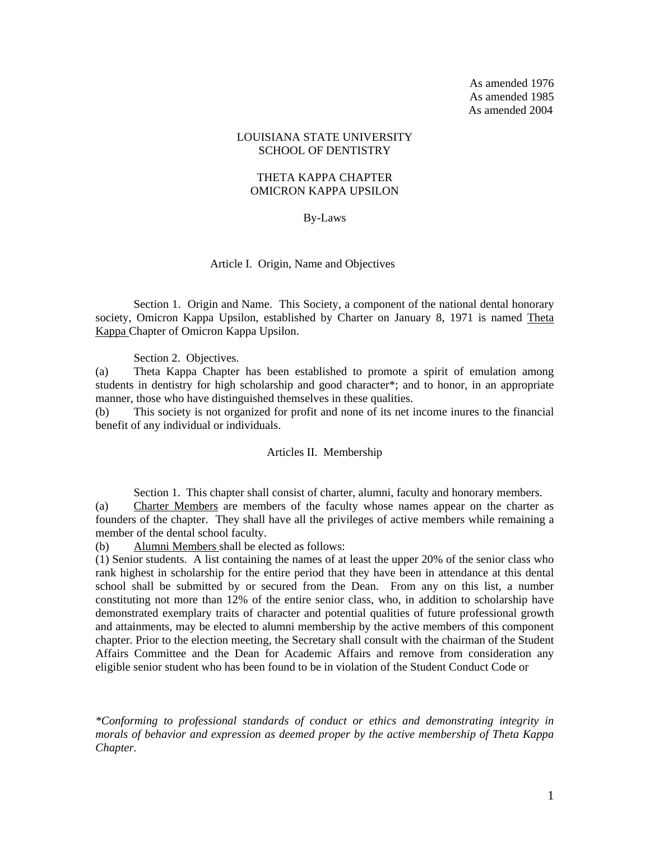As amended 1976 As amended 1985 As amended 2004

### LOUISIANA STATE UNIVERSITY SCHOOL OF DENTISTRY

### THETA KAPPA CHAPTER OMICRON KAPPA UPSILON

### By-Laws

#### Article I. Origin, Name and Objectives

 Section 1. Origin and Name. This Society, a component of the national dental honorary society, Omicron Kappa Upsilon, established by Charter on January 8, 1971 is named Theta Kappa Chapter of Omicron Kappa Upsilon.

Section 2. Objectives.

(a) Theta Kappa Chapter has been established to promote a spirit of emulation among students in dentistry for high scholarship and good character\*; and to honor, in an appropriate manner, those who have distinguished themselves in these qualities.

(b) This society is not organized for profit and none of its net income inures to the financial benefit of any individual or individuals.

### Articles II. Membership

Section 1. This chapter shall consist of charter, alumni, faculty and honorary members. (a) Charter Members are members of the faculty whose names appear on the charter as founders of the chapter. They shall have all the privileges of active members while remaining a member of the dental school faculty.

(b) Alumni Members shall be elected as follows:

(1) Senior students. A list containing the names of at least the upper 20% of the senior class who rank highest in scholarship for the entire period that they have been in attendance at this dental school shall be submitted by or secured from the Dean. From any on this list, a number constituting not more than 12% of the entire senior class, who, in addition to scholarship have demonstrated exemplary traits of character and potential qualities of future professional growth and attainments, may be elected to alumni membership by the active members of this component chapter. Prior to the election meeting, the Secretary shall consult with the chairman of the Student Affairs Committee and the Dean for Academic Affairs and remove from consideration any eligible senior student who has been found to be in violation of the Student Conduct Code or

*\*Conforming to professional standards of conduct or ethics and demonstrating integrity in morals of behavior and expression as deemed proper by the active membership of Theta Kappa Chapter.*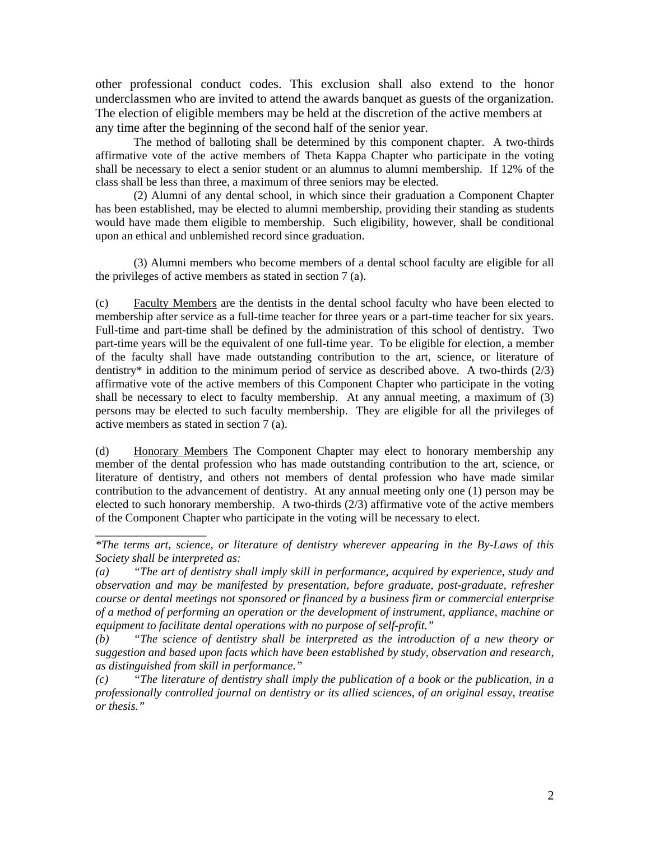other professional conduct codes. This exclusion shall also extend to the honor underclassmen who are invited to attend the awards banquet as guests of the organization. The election of eligible members may be held at the discretion of the active members at any time after the beginning of the second half of the senior year.

The method of balloting shall be determined by this component chapter. A two-thirds affirmative vote of the active members of Theta Kappa Chapter who participate in the voting shall be necessary to elect a senior student or an alumnus to alumni membership. If 12% of the class shall be less than three, a maximum of three seniors may be elected.

(2) Alumni of any dental school, in which since their graduation a Component Chapter has been established, may be elected to alumni membership, providing their standing as students would have made them eligible to membership. Such eligibility, however, shall be conditional upon an ethical and unblemished record since graduation.

(3) Alumni members who become members of a dental school faculty are eligible for all the privileges of active members as stated in section 7 (a).

(c) Faculty Members are the dentists in the dental school faculty who have been elected to membership after service as a full-time teacher for three years or a part-time teacher for six years. Full-time and part-time shall be defined by the administration of this school of dentistry. Two part-time years will be the equivalent of one full-time year. To be eligible for election, a member of the faculty shall have made outstanding contribution to the art, science, or literature of dentistry<sup>\*</sup> in addition to the minimum period of service as described above. A two-thirds  $(2/3)$ affirmative vote of the active members of this Component Chapter who participate in the voting shall be necessary to elect to faculty membership. At any annual meeting, a maximum of (3) persons may be elected to such faculty membership. They are eligible for all the privileges of active members as stated in section 7 (a).

(d) Honorary Members The Component Chapter may elect to honorary membership any member of the dental profession who has made outstanding contribution to the art, science, or literature of dentistry, and others not members of dental profession who have made similar contribution to the advancement of dentistry. At any annual meeting only one (1) person may be elected to such honorary membership. A two-thirds  $(2/3)$  affirmative vote of the active members of the Component Chapter who participate in the voting will be necessary to elect.

\_\_\_\_\_\_\_\_\_\_\_\_\_\_\_\_\_\_\_

*<sup>\*</sup>The terms art, science, or literature of dentistry wherever appearing in the By-Laws of this Society shall be interpreted as:* 

*<sup>(</sup>a) "The art of dentistry shall imply skill in performance, acquired by experience, study and observation and may be manifested by presentation, before graduate, post-graduate, refresher course or dental meetings not sponsored or financed by a business firm or commercial enterprise of a method of performing an operation or the development of instrument, appliance, machine or equipment to facilitate dental operations with no purpose of self-profit."* 

*<sup>(</sup>b) "The science of dentistry shall be interpreted as the introduction of a new theory or suggestion and based upon facts which have been established by study, observation and research, as distinguished from skill in performance."* 

*<sup>(</sup>c) "The literature of dentistry shall imply the publication of a book or the publication, in a professionally controlled journal on dentistry or its allied sciences, of an original essay, treatise or thesis."*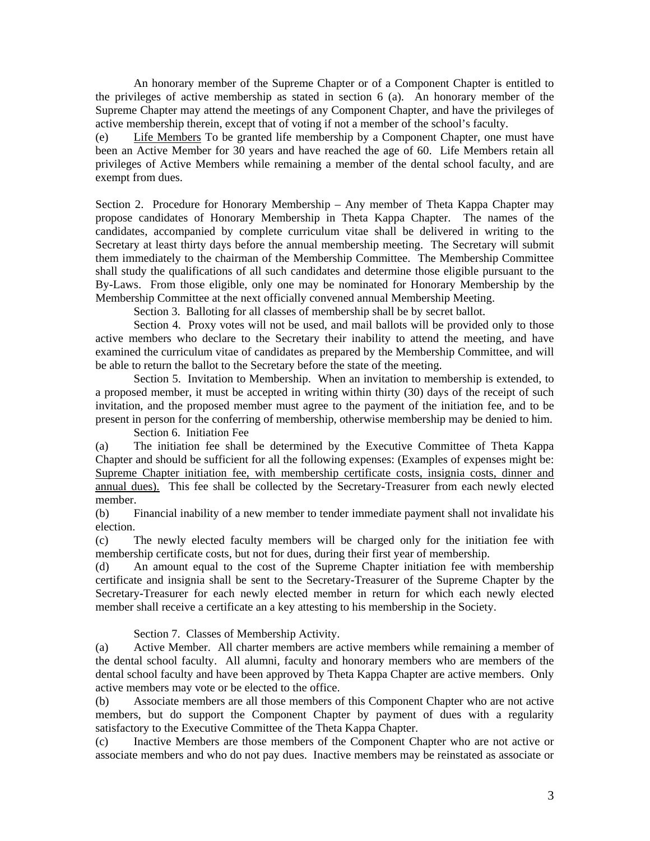An honorary member of the Supreme Chapter or of a Component Chapter is entitled to the privileges of active membership as stated in section 6 (a). An honorary member of the Supreme Chapter may attend the meetings of any Component Chapter, and have the privileges of active membership therein, except that of voting if not a member of the school's faculty.

(e) Life Members To be granted life membership by a Component Chapter, one must have been an Active Member for 30 years and have reached the age of 60. Life Members retain all privileges of Active Members while remaining a member of the dental school faculty, and are exempt from dues.

Section 2. Procedure for Honorary Membership – Any member of Theta Kappa Chapter may propose candidates of Honorary Membership in Theta Kappa Chapter. The names of the candidates, accompanied by complete curriculum vitae shall be delivered in writing to the Secretary at least thirty days before the annual membership meeting. The Secretary will submit them immediately to the chairman of the Membership Committee. The Membership Committee shall study the qualifications of all such candidates and determine those eligible pursuant to the By-Laws. From those eligible, only one may be nominated for Honorary Membership by the Membership Committee at the next officially convened annual Membership Meeting.

Section 3. Balloting for all classes of membership shall be by secret ballot.

 Section 4. Proxy votes will not be used, and mail ballots will be provided only to those active members who declare to the Secretary their inability to attend the meeting, and have examined the curriculum vitae of candidates as prepared by the Membership Committee, and will be able to return the ballot to the Secretary before the state of the meeting.

 Section 5. Invitation to Membership. When an invitation to membership is extended, to a proposed member, it must be accepted in writing within thirty (30) days of the receipt of such invitation, and the proposed member must agree to the payment of the initiation fee, and to be present in person for the conferring of membership, otherwise membership may be denied to him.

Section 6. Initiation Fee

(a) The initiation fee shall be determined by the Executive Committee of Theta Kappa Chapter and should be sufficient for all the following expenses: (Examples of expenses might be: Supreme Chapter initiation fee, with membership certificate costs, insignia costs, dinner and annual dues). This fee shall be collected by the Secretary-Treasurer from each newly elected member.

(b) Financial inability of a new member to tender immediate payment shall not invalidate his election.

(c) The newly elected faculty members will be charged only for the initiation fee with membership certificate costs, but not for dues, during their first year of membership.

(d) An amount equal to the cost of the Supreme Chapter initiation fee with membership certificate and insignia shall be sent to the Secretary-Treasurer of the Supreme Chapter by the Secretary-Treasurer for each newly elected member in return for which each newly elected member shall receive a certificate an a key attesting to his membership in the Society.

Section 7. Classes of Membership Activity.

(a) Active Member. All charter members are active members while remaining a member of the dental school faculty. All alumni, faculty and honorary members who are members of the dental school faculty and have been approved by Theta Kappa Chapter are active members. Only active members may vote or be elected to the office.

(b) Associate members are all those members of this Component Chapter who are not active members, but do support the Component Chapter by payment of dues with a regularity satisfactory to the Executive Committee of the Theta Kappa Chapter.

(c) Inactive Members are those members of the Component Chapter who are not active or associate members and who do not pay dues. Inactive members may be reinstated as associate or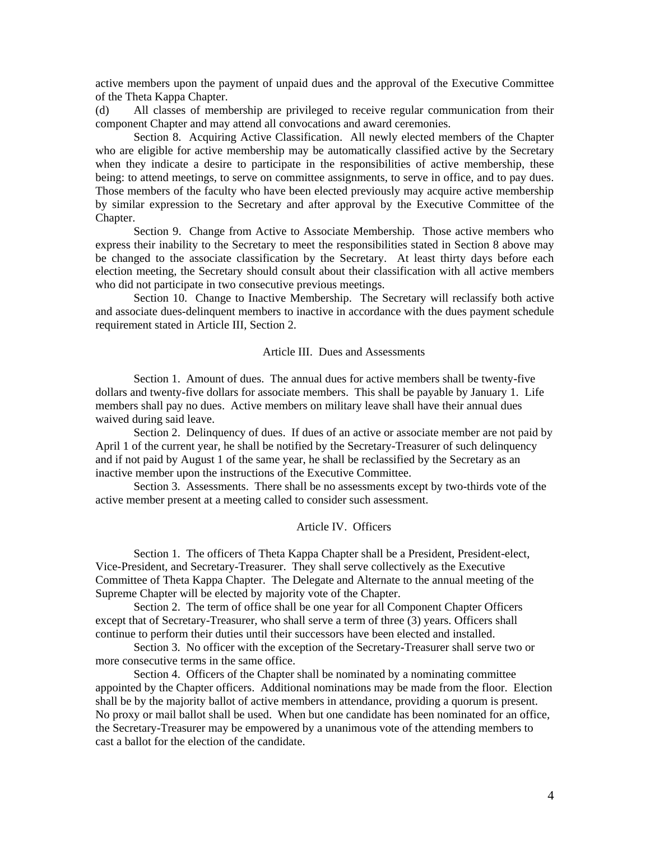active members upon the payment of unpaid dues and the approval of the Executive Committee of the Theta Kappa Chapter.

(d) All classes of membership are privileged to receive regular communication from their component Chapter and may attend all convocations and award ceremonies.

Section 8. Acquiring Active Classification. All newly elected members of the Chapter who are eligible for active membership may be automatically classified active by the Secretary when they indicate a desire to participate in the responsibilities of active membership, these being: to attend meetings, to serve on committee assignments, to serve in office, and to pay dues. Those members of the faculty who have been elected previously may acquire active membership by similar expression to the Secretary and after approval by the Executive Committee of the Chapter.

Section 9. Change from Active to Associate Membership. Those active members who express their inability to the Secretary to meet the responsibilities stated in Section 8 above may be changed to the associate classification by the Secretary. At least thirty days before each election meeting, the Secretary should consult about their classification with all active members who did not participate in two consecutive previous meetings.

Section 10. Change to Inactive Membership. The Secretary will reclassify both active and associate dues-delinquent members to inactive in accordance with the dues payment schedule requirement stated in Article III, Section 2.

# Article III. Dues and Assessments

Section 1. Amount of dues. The annual dues for active members shall be twenty-five dollars and twenty-five dollars for associate members. This shall be payable by January 1. Life members shall pay no dues. Active members on military leave shall have their annual dues waived during said leave.

Section 2. Delinquency of dues. If dues of an active or associate member are not paid by April 1 of the current year, he shall be notified by the Secretary-Treasurer of such delinquency and if not paid by August 1 of the same year, he shall be reclassified by the Secretary as an inactive member upon the instructions of the Executive Committee.

Section 3. Assessments. There shall be no assessments except by two-thirds vote of the active member present at a meeting called to consider such assessment.

### Article IV. Officers

Section 1. The officers of Theta Kappa Chapter shall be a President, President-elect, Vice-President, and Secretary-Treasurer. They shall serve collectively as the Executive Committee of Theta Kappa Chapter. The Delegate and Alternate to the annual meeting of the Supreme Chapter will be elected by majority vote of the Chapter.

Section 2. The term of office shall be one year for all Component Chapter Officers except that of Secretary-Treasurer, who shall serve a term of three (3) years. Officers shall continue to perform their duties until their successors have been elected and installed.

Section 3. No officer with the exception of the Secretary-Treasurer shall serve two or more consecutive terms in the same office.

Section 4. Officers of the Chapter shall be nominated by a nominating committee appointed by the Chapter officers. Additional nominations may be made from the floor. Election shall be by the majority ballot of active members in attendance, providing a quorum is present. No proxy or mail ballot shall be used. When but one candidate has been nominated for an office, the Secretary-Treasurer may be empowered by a unanimous vote of the attending members to cast a ballot for the election of the candidate.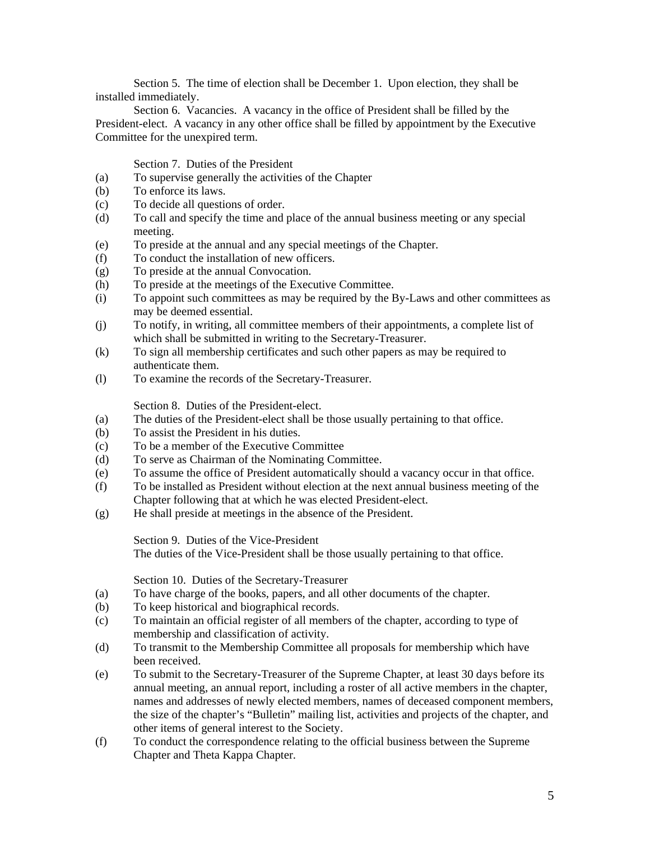Section 5. The time of election shall be December 1. Upon election, they shall be installed immediately.

Section 6. Vacancies. A vacancy in the office of President shall be filled by the President-elect. A vacancy in any other office shall be filled by appointment by the Executive Committee for the unexpired term.

Section 7. Duties of the President

- (a) To supervise generally the activities of the Chapter
- (b) To enforce its laws.
- (c) To decide all questions of order.
- (d) To call and specify the time and place of the annual business meeting or any special meeting.
- (e) To preside at the annual and any special meetings of the Chapter.
- (f) To conduct the installation of new officers.
- (g) To preside at the annual Convocation.
- (h) To preside at the meetings of the Executive Committee.
- (i) To appoint such committees as may be required by the By-Laws and other committees as may be deemed essential.
- (j) To notify, in writing, all committee members of their appointments, a complete list of which shall be submitted in writing to the Secretary-Treasurer.
- (k) To sign all membership certificates and such other papers as may be required to authenticate them.
- (l) To examine the records of the Secretary-Treasurer.

Section 8. Duties of the President-elect.

- (a) The duties of the President-elect shall be those usually pertaining to that office.
- (b) To assist the President in his duties.
- (c) To be a member of the Executive Committee
- (d) To serve as Chairman of the Nominating Committee.
- (e) To assume the office of President automatically should a vacancy occur in that office.
- (f) To be installed as President without election at the next annual business meeting of the Chapter following that at which he was elected President-elect.
- (g) He shall preside at meetings in the absence of the President.

Section 9. Duties of the Vice-President

The duties of the Vice-President shall be those usually pertaining to that office.

Section 10. Duties of the Secretary-Treasurer

- (a) To have charge of the books, papers, and all other documents of the chapter.
- (b) To keep historical and biographical records.
- (c) To maintain an official register of all members of the chapter, according to type of membership and classification of activity.
- (d) To transmit to the Membership Committee all proposals for membership which have been received.
- (e) To submit to the Secretary-Treasurer of the Supreme Chapter, at least 30 days before its annual meeting, an annual report, including a roster of all active members in the chapter, names and addresses of newly elected members, names of deceased component members, the size of the chapter's "Bulletin" mailing list, activities and projects of the chapter, and other items of general interest to the Society.
- (f) To conduct the correspondence relating to the official business between the Supreme Chapter and Theta Kappa Chapter.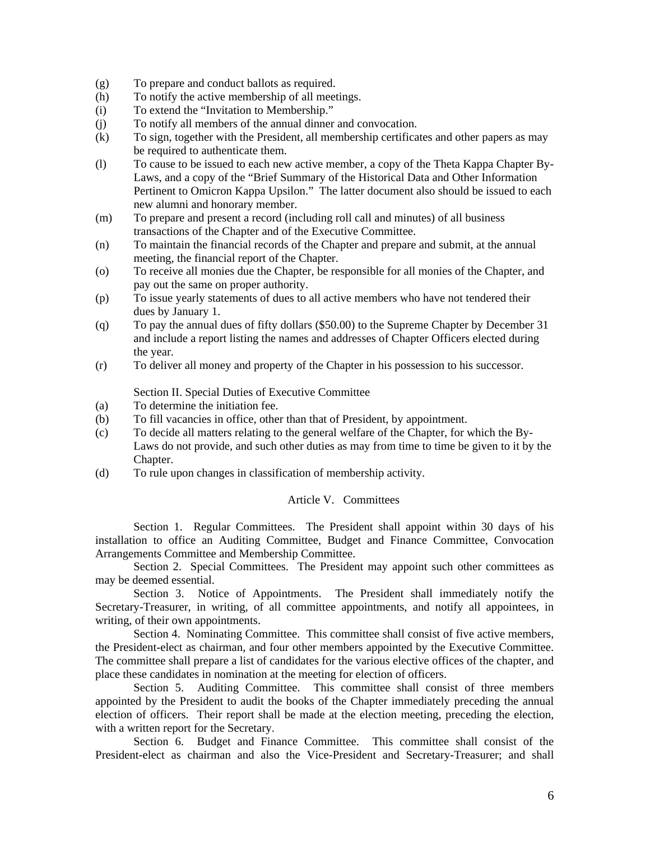- (g) To prepare and conduct ballots as required.
- (h) To notify the active membership of all meetings.
- (i) To extend the "Invitation to Membership."
- (j) To notify all members of the annual dinner and convocation.
- (k) To sign, together with the President, all membership certificates and other papers as may be required to authenticate them.
- (l) To cause to be issued to each new active member, a copy of the Theta Kappa Chapter By-Laws, and a copy of the "Brief Summary of the Historical Data and Other Information Pertinent to Omicron Kappa Upsilon." The latter document also should be issued to each new alumni and honorary member.
- (m) To prepare and present a record (including roll call and minutes) of all business transactions of the Chapter and of the Executive Committee.
- (n) To maintain the financial records of the Chapter and prepare and submit, at the annual meeting, the financial report of the Chapter.
- (o) To receive all monies due the Chapter, be responsible for all monies of the Chapter, and pay out the same on proper authority.
- (p) To issue yearly statements of dues to all active members who have not tendered their dues by January 1.
- (q) To pay the annual dues of fifty dollars (\$50.00) to the Supreme Chapter by December 31 and include a report listing the names and addresses of Chapter Officers elected during the year.
- (r) To deliver all money and property of the Chapter in his possession to his successor.

Section II. Special Duties of Executive Committee

- (a) To determine the initiation fee.
- (b) To fill vacancies in office, other than that of President, by appointment.
- (c) To decide all matters relating to the general welfare of the Chapter, for which the By-Laws do not provide, and such other duties as may from time to time be given to it by the Chapter.
- (d) To rule upon changes in classification of membership activity.

# Article V. Committees

Section 1. Regular Committees. The President shall appoint within 30 days of his installation to office an Auditing Committee, Budget and Finance Committee, Convocation Arrangements Committee and Membership Committee.

Section 2. Special Committees. The President may appoint such other committees as may be deemed essential.

Section 3. Notice of Appointments. The President shall immediately notify the Secretary-Treasurer, in writing, of all committee appointments, and notify all appointees, in writing, of their own appointments.

Section 4. Nominating Committee. This committee shall consist of five active members, the President-elect as chairman, and four other members appointed by the Executive Committee. The committee shall prepare a list of candidates for the various elective offices of the chapter, and place these candidates in nomination at the meeting for election of officers.

Section 5. Auditing Committee. This committee shall consist of three members appointed by the President to audit the books of the Chapter immediately preceding the annual election of officers. Their report shall be made at the election meeting, preceding the election, with a written report for the Secretary.

Section 6. Budget and Finance Committee. This committee shall consist of the President-elect as chairman and also the Vice-President and Secretary-Treasurer; and shall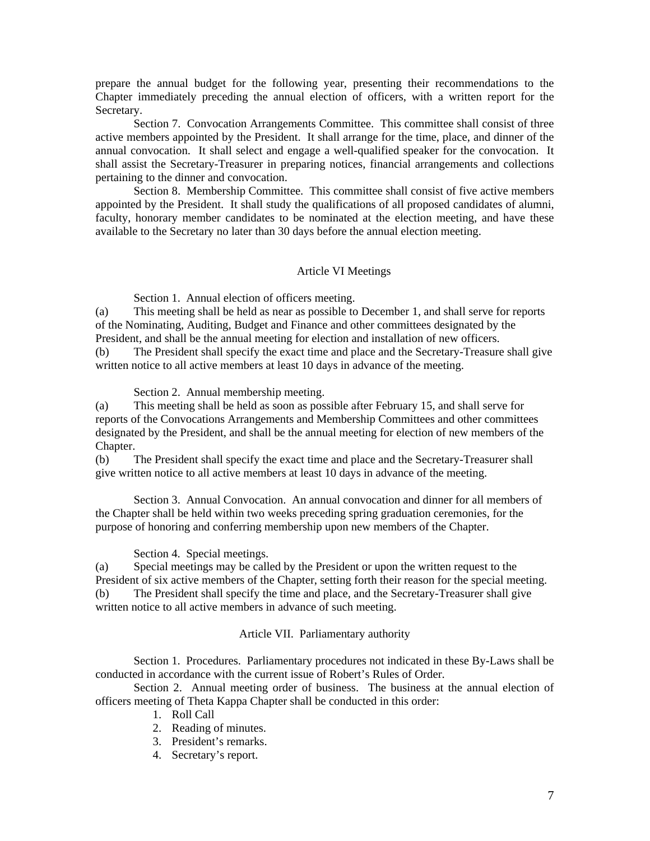prepare the annual budget for the following year, presenting their recommendations to the Chapter immediately preceding the annual election of officers, with a written report for the Secretary.

Section 7. Convocation Arrangements Committee. This committee shall consist of three active members appointed by the President. It shall arrange for the time, place, and dinner of the annual convocation. It shall select and engage a well-qualified speaker for the convocation. It shall assist the Secretary-Treasurer in preparing notices, financial arrangements and collections pertaining to the dinner and convocation.

Section 8. Membership Committee. This committee shall consist of five active members appointed by the President. It shall study the qualifications of all proposed candidates of alumni, faculty, honorary member candidates to be nominated at the election meeting, and have these available to the Secretary no later than 30 days before the annual election meeting.

### Article VI Meetings

Section 1. Annual election of officers meeting.

(a) This meeting shall be held as near as possible to December 1, and shall serve for reports of the Nominating, Auditing, Budget and Finance and other committees designated by the President, and shall be the annual meeting for election and installation of new officers.

(b) The President shall specify the exact time and place and the Secretary-Treasure shall give written notice to all active members at least 10 days in advance of the meeting.

Section 2. Annual membership meeting.

(a) This meeting shall be held as soon as possible after February 15, and shall serve for reports of the Convocations Arrangements and Membership Committees and other committees designated by the President, and shall be the annual meeting for election of new members of the Chapter.

(b) The President shall specify the exact time and place and the Secretary-Treasurer shall give written notice to all active members at least 10 days in advance of the meeting.

Section 3. Annual Convocation. An annual convocation and dinner for all members of the Chapter shall be held within two weeks preceding spring graduation ceremonies, for the purpose of honoring and conferring membership upon new members of the Chapter.

Section 4. Special meetings.

(a) Special meetings may be called by the President or upon the written request to the President of six active members of the Chapter, setting forth their reason for the special meeting. (b) The President shall specify the time and place, and the Secretary-Treasurer shall give written notice to all active members in advance of such meeting.

### Article VII. Parliamentary authority

 Section 1. Procedures. Parliamentary procedures not indicated in these By-Laws shall be conducted in accordance with the current issue of Robert's Rules of Order.

 Section 2. Annual meeting order of business. The business at the annual election of officers meeting of Theta Kappa Chapter shall be conducted in this order:

- 1. Roll Call
- 2. Reading of minutes.
- 3. President's remarks.
- 4. Secretary's report.